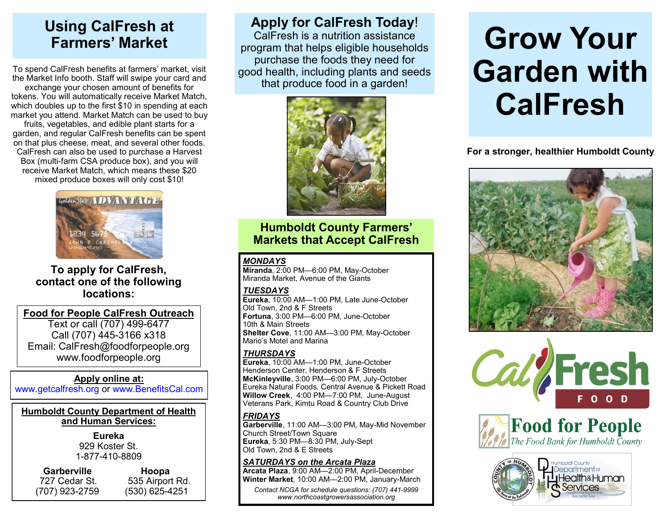## **Using CalFresh at Farmers' Market**

To spend CalFresh benefits at farmers' market, visit the Market Info booth. Staff will swipe your card and exchange your chosen amount of benefits for tokens. You will automatically receive Market Match, which doubles up to the first \$10 in spending at each market you attend. Market Match can be used to buy fruits, vegetables, and edible plant starts for a garden, and regular CalFresh benefits can be spent on that plus cheese, meat, and several other foods. CalFresh can also be used to purchase a Harvest Box (multi-farm CSA produce box), and you will receive Market Match, which means these \$20 mixed produce boxes will only cost \$10!



#### **To apply for CalFresh, contact one of the following locations:**

**Food for People CalFresh Outreach**

Text or call (707) 499-6477 Call (707) 445-3166 x318 Email: CalFresh@foodforpeople.org www.foodforpeople.org

#### **Apply online at:**

www.getcalfresh.org or www.BenefitsCal.com

#### **Humboldt County Department of Health and Human Services:**

**Eureka**  929 Koster St. 1-877-410-8809

#### **Garberville Hoopa** 727 Cedar St. 535 Airport Rd.

(707) 923-2759 (530) 625-4251

**Apply for CalFresh Today**! CalFresh is a nutrition assistance program that helps eligible households purchase the foods they need for good health, including plants and seeds that produce food in a garden!



#### **Humboldt County Farmers' Markets that Accept CalFresh**

#### *MONDAYS*

**Miranda**, 2:00 PM—6:00 PM, May-October Miranda Market, Avenue of the Giants

#### *TUESDAYS*

**Eureka**, 10:00 AM—1:00 PM, Late June-October Old Town, 2nd & F Streets **Fortuna**, 3:00 PM—6:00 PM, June-October 10th & Main Streets **Shelter Cove**, 11:00 AM—3:00 PM, May-October Mario's Motel and Marina

#### *THURSDAYS*

**Eureka**, 10:00 AM—1:00 PM, June-October Henderson Center, Henderson & F Streets **McKinleyville**, 3:00 PM—6:00 PM, July-October Eureka Natural Foods, Central Avenue & Pickett Road **Willow Creek**, 4:00 PM—7:00 PM, June-August Veterans Park, Kimtu Road & Country Club Drive

#### *FRIDAYS*

**Garberville**, 11:00 AM—3:00 PM, May-Mid November Church Street/Town Square **Eureka**, 5:30 PM—8:30 PM, July-Sept Old Town, 2nd & E Streets

#### *SATURDAYS on the Arcata Plaza*

**Arcata Plaza**, 9:00 AM—2:00 PM, April-December **Winter Market**, 10:00 AM—2:00 PM, January-March

*Contact NCGA for schedule questions: (707) 441-9999 www.northcoastgrowersassociation.org*

# **Grow Your Garden with CalFresh**

**For a stronger, healthier Humboldt County**